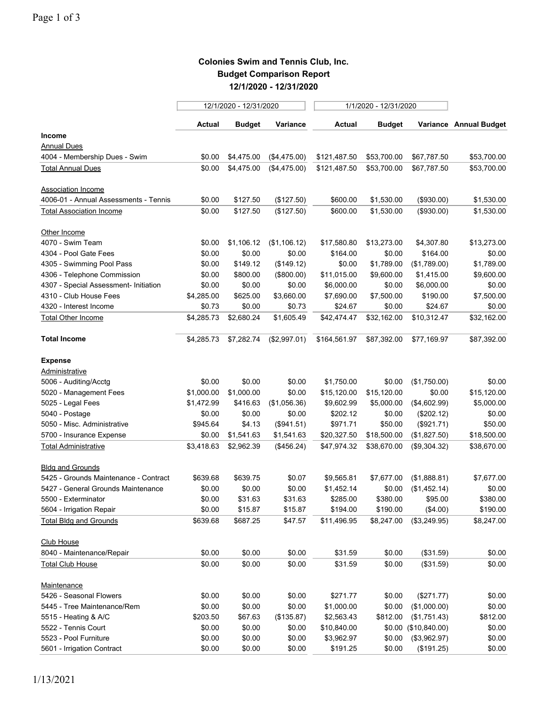## **Colonies Swim and Tennis Club, Inc. Budget Comparison Report 12/1/2020 - 12/31/2020**

|                                       |            | 12/1/2020 - 12/31/2020 |              | 1/1/2020 - 12/31/2020 |               |                      |                        |  |
|---------------------------------------|------------|------------------------|--------------|-----------------------|---------------|----------------------|------------------------|--|
|                                       | Actual     | <b>Budget</b>          | Variance     | <b>Actual</b>         | <b>Budget</b> |                      | Variance Annual Budget |  |
| <b>Income</b>                         |            |                        |              |                       |               |                      |                        |  |
| <b>Annual Dues</b>                    |            |                        |              |                       |               |                      |                        |  |
| 4004 - Membership Dues - Swim         | \$0.00     | \$4,475.00             | (\$4,475.00) | \$121,487.50          | \$53,700.00   | \$67,787.50          | \$53,700.00            |  |
| <b>Total Annual Dues</b>              | \$0.00     | \$4,475.00             | (\$4,475.00) | \$121,487.50          | \$53,700.00   | \$67,787.50          | \$53,700.00            |  |
| <b>Association Income</b>             |            |                        |              |                       |               |                      |                        |  |
| 4006-01 - Annual Assessments - Tennis | \$0.00     | \$127.50               | (\$127.50)   | \$600.00              | \$1,530.00    | (\$930.00)           | \$1,530.00             |  |
| <b>Total Association Income</b>       | \$0.00     | \$127.50               | (\$127.50)   | \$600.00              | \$1,530.00    | (\$930.00)           | \$1,530.00             |  |
| Other Income                          |            |                        |              |                       |               |                      |                        |  |
| 4070 - Swim Team                      | \$0.00     | \$1,106.12             | (\$1,106.12) | \$17,580.80           | \$13,273.00   | \$4,307.80           | \$13,273.00            |  |
| 4304 - Pool Gate Fees                 | \$0.00     | \$0.00                 | \$0.00       | \$164.00              | \$0.00        | \$164.00             | \$0.00                 |  |
| 4305 - Swimming Pool Pass             | \$0.00     | \$149.12               | (\$149.12)   | \$0.00                | \$1,789.00    | (\$1,789.00)         | \$1,789.00             |  |
| 4306 - Telephone Commission           | \$0.00     | \$800.00               | (\$800.00)   | \$11,015.00           | \$9,600.00    | \$1,415.00           | \$9,600.00             |  |
| 4307 - Special Assessment- Initiation | \$0.00     | \$0.00                 | \$0.00       | \$6,000.00            | \$0.00        | \$6,000.00           | \$0.00                 |  |
| 4310 - Club House Fees                | \$4,285.00 | \$625.00               | \$3,660.00   | \$7,690.00            | \$7,500.00    | \$190.00             | \$7,500.00             |  |
| 4320 - Interest Income                | \$0.73     | \$0.00                 | \$0.73       | \$24.67               | \$0.00        | \$24.67              | \$0.00                 |  |
| <b>Total Other Income</b>             | \$4,285.73 | \$2,680.24             | \$1,605.49   | \$42,474.47           | \$32,162.00   | \$10,312.47          | \$32,162.00            |  |
| <b>Total Income</b>                   | \$4,285.73 | \$7,282.74             | (\$2,997.01) | \$164,561.97          | \$87,392.00   | \$77,169.97          | \$87,392.00            |  |
| <b>Expense</b>                        |            |                        |              |                       |               |                      |                        |  |
| Administrative                        |            |                        |              |                       |               |                      |                        |  |
| 5006 - Auditing/Acctg                 | \$0.00     | \$0.00                 | \$0.00       | \$1,750.00            | \$0.00        | (\$1,750.00)         | \$0.00                 |  |
| 5020 - Management Fees                | \$1,000.00 | \$1,000.00             | \$0.00       | \$15,120.00           | \$15,120.00   | \$0.00               | \$15,120.00            |  |
| 5025 - Legal Fees                     | \$1,472.99 | \$416.63               | (\$1,056.36) | \$9,602.99            | \$5,000.00    | (\$4,602.99)         | \$5,000.00             |  |
| 5040 - Postage                        | \$0.00     | \$0.00                 | \$0.00       | \$202.12              | \$0.00        | (\$202.12)           | \$0.00                 |  |
| 5050 - Misc. Administrative           | \$945.64   | \$4.13                 | (\$941.51)   | \$971.71              | \$50.00       | (\$921.71)           | \$50.00                |  |
| 5700 - Insurance Expense              | \$0.00     | \$1,541.63             | \$1,541.63   | \$20,327.50           | \$18,500.00   | (\$1,827.50)         | \$18,500.00            |  |
| <b>Total Administrative</b>           | \$3,418.63 | \$2,962.39             | (\$456.24)   | \$47,974.32           | \$38,670.00   | (\$9,304.32)         | \$38,670.00            |  |
| <b>Bldg and Grounds</b>               |            |                        |              |                       |               |                      |                        |  |
| 5425 - Grounds Maintenance - Contract | \$639.68   | \$639.75               | \$0.07       | \$9,565.81            | \$7,677.00    | (\$1,888.81)         | \$7,677.00             |  |
| 5427 - General Grounds Maintenance    | \$0.00     | \$0.00                 | \$0.00       | \$1,452.14            | \$0.00        | (\$1,452.14)         | \$0.00                 |  |
| 5500 - Exterminator                   | \$0.00     | \$31.63                | \$31.63      | \$285.00              | \$380.00      | \$95.00              | \$380.00               |  |
| 5604 - Irrigation Repair              | \$0.00     | \$15.87                | \$15.87      | \$194.00              | \$190.00      | (\$4.00)             | \$190.00               |  |
| <b>Total Bldg and Grounds</b>         | \$639.68   | \$687.25               | \$47.57      | \$11,496.95           | \$8,247.00    | (\$3,249.95)         | \$8,247.00             |  |
| <b>Club House</b>                     |            |                        |              |                       |               |                      |                        |  |
| 8040 - Maintenance/Repair             | \$0.00     | \$0.00                 | \$0.00       | \$31.59               | \$0.00        | (\$31.59)            | \$0.00                 |  |
| <b>Total Club House</b>               | \$0.00     | \$0.00                 | \$0.00       | \$31.59               | \$0.00        | (\$31.59)            | \$0.00                 |  |
| Maintenance                           |            |                        |              |                       |               |                      |                        |  |
| 5426 - Seasonal Flowers               | \$0.00     | \$0.00                 | \$0.00       | \$271.77              | \$0.00        | (\$271.77)           | \$0.00                 |  |
| 5445 - Tree Maintenance/Rem           | \$0.00     | \$0.00                 | \$0.00       | \$1,000.00            | \$0.00        | (\$1,000.00)         | \$0.00                 |  |
| 5515 - Heating & A/C                  | \$203.50   | \$67.63                | (\$135.87)   | \$2,563.43            | \$812.00      | (\$1,751.43)         | \$812.00               |  |
| 5522 - Tennis Court                   | \$0.00     | \$0.00                 | \$0.00       | \$10,840.00           |               | \$0.00 (\$10,840.00) | \$0.00                 |  |
| 5523 - Pool Furniture                 | \$0.00     | \$0.00                 | \$0.00       | \$3,962.97            | \$0.00        | (\$3,962.97)         | \$0.00                 |  |
| 5601 - Irrigation Contract            | \$0.00     | \$0.00                 | \$0.00       | \$191.25              | \$0.00        | (\$191.25)           | \$0.00                 |  |
|                                       |            |                        |              |                       |               |                      |                        |  |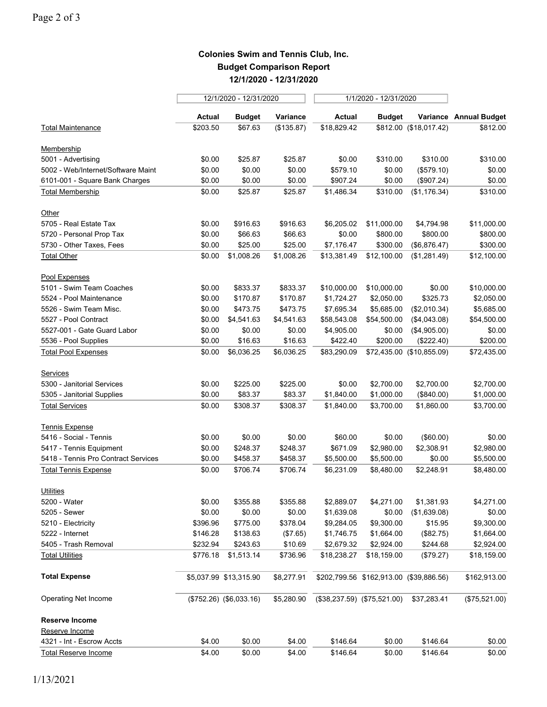## **Colonies Swim and Tennis Club, Inc. Budget Comparison Report 12/1/2020 - 12/31/2020**

|                                     |          | 12/1/2020 - 12/31/2020    |            |               | 1/1/2020 - 12/31/2020                   |                           |                        |  |
|-------------------------------------|----------|---------------------------|------------|---------------|-----------------------------------------|---------------------------|------------------------|--|
|                                     | Actual   | <b>Budget</b>             | Variance   | <b>Actual</b> | <b>Budget</b>                           |                           | Variance Annual Budget |  |
| <b>Total Maintenance</b>            | \$203.50 | \$67.63                   | (\$135.87) | \$18,829.42   |                                         | \$812.00 (\$18,017.42)    | \$812.00               |  |
| Membership                          |          |                           |            |               |                                         |                           |                        |  |
| 5001 - Advertising                  | \$0.00   | \$25.87                   | \$25.87    | \$0.00        | \$310.00                                | \$310.00                  | \$310.00               |  |
| 5002 - Web/Internet/Software Maint  | \$0.00   | \$0.00                    | \$0.00     | \$579.10      | \$0.00                                  | (\$579.10)                | \$0.00                 |  |
| 6101-001 - Square Bank Charges      | \$0.00   | \$0.00                    | \$0.00     | \$907.24      | \$0.00                                  | (\$907.24)                | \$0.00                 |  |
| <b>Total Membership</b>             | \$0.00   | \$25.87                   | \$25.87    | \$1,486.34    | \$310.00                                | (\$1,176.34)              | \$310.00               |  |
| Other                               |          |                           |            |               |                                         |                           |                        |  |
| 5705 - Real Estate Tax              | \$0.00   | \$916.63                  | \$916.63   | \$6,205.02    | \$11,000.00                             | \$4,794.98                | \$11,000.00            |  |
| 5720 - Personal Prop Tax            | \$0.00   | \$66.63                   | \$66.63    | \$0.00        | \$800.00                                | \$800.00                  | \$800.00               |  |
| 5730 - Other Taxes, Fees            | \$0.00   | \$25.00                   | \$25.00    | \$7,176.47    | \$300.00                                | (\$6,876.47)              | \$300.00               |  |
| <b>Total Other</b>                  | \$0.00   | \$1,008.26                | \$1,008.26 | \$13,381.49   | \$12,100.00                             | (\$1,281.49)              | \$12,100.00            |  |
| Pool Expenses                       |          |                           |            |               |                                         |                           |                        |  |
| 5101 - Swim Team Coaches            | \$0.00   | \$833.37                  | \$833.37   | \$10,000.00   | \$10,000.00                             | \$0.00                    | \$10,000.00            |  |
| 5524 - Pool Maintenance             | \$0.00   | \$170.87                  | \$170.87   | \$1,724.27    | \$2,050.00                              | \$325.73                  | \$2,050.00             |  |
| 5526 - Swim Team Misc.              | \$0.00   | \$473.75                  | \$473.75   | \$7,695.34    | \$5,685.00                              | (\$2,010.34)              | \$5,685.00             |  |
| 5527 - Pool Contract                | \$0.00   | \$4,541.63                | \$4,541.63 | \$58,543.08   | \$54,500.00                             | (\$4,043.08)              | \$54,500.00            |  |
| 5527-001 - Gate Guard Labor         | \$0.00   | \$0.00                    | \$0.00     | \$4,905.00    | \$0.00                                  | (\$4,905.00)              | \$0.00                 |  |
| 5536 - Pool Supplies                | \$0.00   | \$16.63                   | \$16.63    | \$422.40      | \$200.00                                | (\$222.40)                | \$200.00               |  |
| <b>Total Pool Expenses</b>          | \$0.00   | \$6,036.25                | \$6,036.25 | \$83,290.09   |                                         | \$72,435.00 (\$10,855.09) | \$72,435.00            |  |
| Services                            |          |                           |            |               |                                         |                           |                        |  |
| 5300 - Janitorial Services          | \$0.00   | \$225.00                  | \$225.00   | \$0.00        | \$2,700.00                              | \$2,700.00                | \$2,700.00             |  |
| 5305 - Janitorial Supplies          | \$0.00   | \$83.37                   | \$83.37    | \$1,840.00    | \$1,000.00                              | (\$840.00)                | \$1,000.00             |  |
| <b>Total Services</b>               | \$0.00   | \$308.37                  | \$308.37   | \$1,840.00    | \$3,700.00                              | \$1,860.00                | \$3,700.00             |  |
| <b>Tennis Expense</b>               |          |                           |            |               |                                         |                           |                        |  |
| 5416 - Social - Tennis              | \$0.00   | \$0.00                    | \$0.00     | \$60.00       | \$0.00                                  | (\$60.00)                 | \$0.00                 |  |
| 5417 - Tennis Equipment             | \$0.00   | \$248.37                  | \$248.37   | \$671.09      | \$2,980.00                              | \$2,308.91                | \$2,980.00             |  |
| 5418 - Tennis Pro Contract Services | \$0.00   | \$458.37                  | \$458.37   | \$5,500.00    | \$5,500.00                              | \$0.00                    | \$5,500.00             |  |
| <b>Total Tennis Expense</b>         | \$0.00   | \$706.74                  | \$706.74   | \$6,231.09    | \$8,480.00                              | \$2,248.91                | \$8,480.00             |  |
| <b>Utilities</b>                    |          |                           |            |               |                                         |                           |                        |  |
| 5200 - Water                        | \$0.00   | \$355.88                  | \$355.88   | \$2,889.07    | \$4,271.00                              | \$1,381.93                | \$4,271.00             |  |
| 5205 - Sewer                        | \$0.00   | \$0.00                    | \$0.00     | \$1,639.08    | \$0.00                                  | (\$1,639.08)              | \$0.00                 |  |
| 5210 - Electricity                  | \$396.96 | \$775.00                  | \$378.04   | \$9,284.05    | \$9,300.00                              | \$15.95                   | \$9,300.00             |  |
| 5222 - Internet                     | \$146.28 | \$138.63                  | (\$7.65)   | \$1,746.75    | \$1,664.00                              | (\$82.75)                 | \$1,664.00             |  |
| 5405 - Trash Removal                | \$232.94 | \$243.63                  | \$10.69    | \$2,679.32    | \$2,924.00                              | \$244.68                  | \$2,924.00             |  |
| <b>Total Utilities</b>              | \$776.18 | \$1,513.14                | \$736.96   | \$18,238.27   | \$18,159.00                             | (\$79.27)                 | \$18,159.00            |  |
| <b>Total Expense</b>                |          | \$5,037.99 \$13,315.90    | \$8,277.91 |               | \$202,799.56 \$162,913.00 (\$39,886.56) |                           | \$162,913.00           |  |
| Operating Net Income                |          | $($752.26)$ $($6,033.16)$ | \$5,280.90 |               | $($38,237.59)$ $($75,521.00)$           | \$37,283.41               | (\$75,521.00)          |  |
| Reserve Income                      |          |                           |            |               |                                         |                           |                        |  |
| Reserve Income                      |          |                           |            |               |                                         |                           |                        |  |
| 4321 - Int - Escrow Accts           | \$4.00   | \$0.00                    | \$4.00     | \$146.64      | \$0.00                                  | \$146.64                  | \$0.00                 |  |
| <b>Total Reserve Income</b>         | \$4.00   | \$0.00                    | \$4.00     | \$146.64      | \$0.00                                  | \$146.64                  | \$0.00                 |  |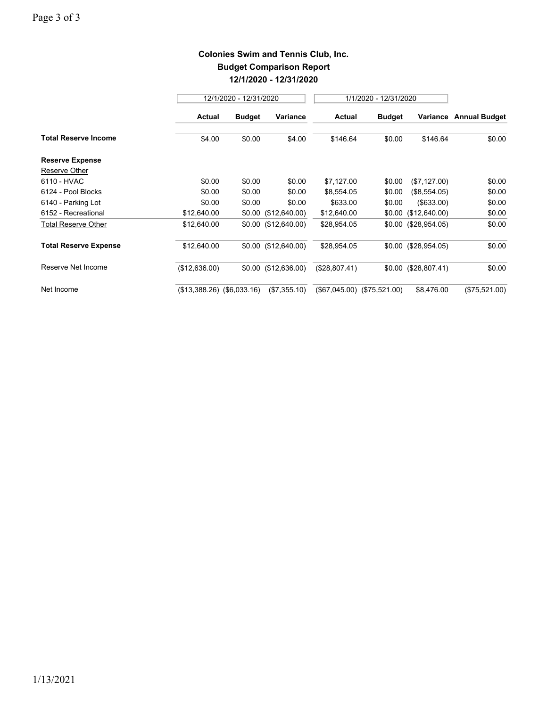## **Colonies Swim and Tennis Club, Inc. Budget Comparison Report 12/1/2020 - 12/31/2020**

|                              | 12/1/2020 - 12/31/2020       |               |                        | 1/1/2020 - 12/31/2020       |               |                        |                      |
|------------------------------|------------------------------|---------------|------------------------|-----------------------------|---------------|------------------------|----------------------|
|                              | Actual                       | <b>Budget</b> | Variance               | <b>Actual</b>               | <b>Budget</b> | Variance               | <b>Annual Budget</b> |
| <b>Total Reserve Income</b>  | \$4.00                       | \$0.00        | \$4.00                 | \$146.64                    | \$0.00        | \$146.64               | \$0.00               |
| <b>Reserve Expense</b>       |                              |               |                        |                             |               |                        |                      |
| Reserve Other                |                              |               |                        |                             |               |                        |                      |
| 6110 - HVAC                  | \$0.00                       | \$0.00        | \$0.00                 | \$7,127.00                  | \$0.00        | (\$7,127.00)           | \$0.00               |
| 6124 - Pool Blocks           | \$0.00                       | \$0.00        | \$0.00                 | \$8,554.05                  | \$0.00        | (\$8,554.05)           | \$0.00               |
| 6140 - Parking Lot           | \$0.00                       | \$0.00        | \$0.00                 | \$633.00                    | \$0.00        | ( \$633.00)            | \$0.00               |
| 6152 - Recreational          | \$12,640.00                  |               | $$0.00$ (\$12,640.00)  | \$12,640.00                 |               | $$0.00$ (\$12,640.00)  | \$0.00               |
| <b>Total Reserve Other</b>   | \$12,640.00                  |               | $$0.00$ (\$12,640.00)  | \$28,954.05                 |               | $$0.00$ (\$28,954.05)  | \$0.00               |
| <b>Total Reserve Expense</b> | \$12,640.00                  |               | $$0.00$ (\$12,640.00)  | \$28,954.05                 |               | $$0.00$ (\$28,954.05)  | \$0.00               |
| Reserve Net Income           | (\$12,636.00)                |               | $$0.00$ $($12,636.00)$ | (\$28,807.41)               |               | $$0.00$ $($28,807.41)$ | \$0.00               |
| Net Income                   | $($13,388.26)$ $($6,033.16)$ |               | (\$7,355.10)           | (\$67,045.00) (\$75,521.00) |               | \$8,476.00             | (\$75,521.00)        |